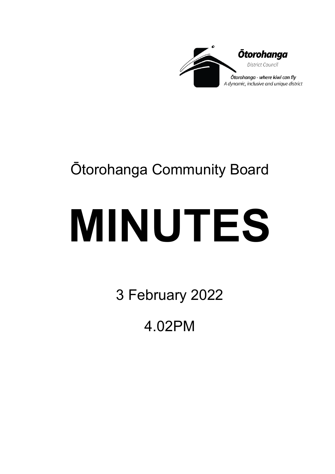

## Ōtorohanga Community Board

# **MINUTES**

3 February 2022

4.02PM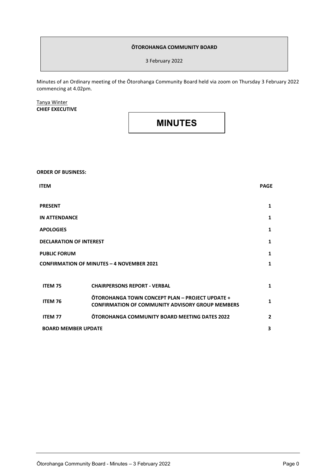#### **ŌTOROHANGA COMMUNITY BOARD**

3 February 2022

Minutes of an Ordinary meeting of the Ōtorohanga Community Board held via zoom on Thursday 3 February 2022 commencing at 4.02pm.

#### Tanya Winter **CHIEF EXECUTIVE**

### **MINUTES**

**ORDER OF BUSINESS:**

| <b>ITEM</b>                                      |                                                                                                                   | <b>PAGE</b>    |
|--------------------------------------------------|-------------------------------------------------------------------------------------------------------------------|----------------|
|                                                  |                                                                                                                   |                |
| <b>PRESENT</b>                                   |                                                                                                                   | 1              |
| <b>IN ATTENDANCE</b>                             |                                                                                                                   | 1              |
| <b>APOLOGIES</b>                                 |                                                                                                                   | 1              |
| <b>DECLARATION OF INTEREST</b>                   |                                                                                                                   | 1              |
| <b>PUBLIC FORUM</b>                              |                                                                                                                   | 1              |
| <b>CONFIRMATION OF MINUTES - 4 NOVEMBER 2021</b> |                                                                                                                   | $\mathbf{1}$   |
|                                                  |                                                                                                                   |                |
| <b>ITEM 75</b>                                   | <b>CHAIRPERSONS REPORT - VERBAL</b>                                                                               | 1              |
| ITEM 76                                          | <b>OTOROHANGA TOWN CONCEPT PLAN - PROJECT UPDATE +</b><br><b>CONFIRMATION OF COMMUNITY ADVISORY GROUP MEMBERS</b> | $\mathbf{1}$   |
| <b>ITEM 77</b>                                   | <b>OTOROHANGA COMMUNITY BOARD MEETING DATES 2022</b>                                                              | $\overline{2}$ |
| <b>BOARD MEMBER UPDATE</b>                       |                                                                                                                   | 3              |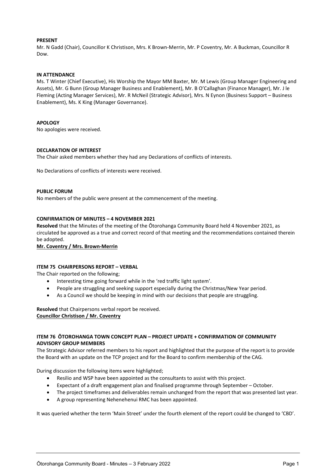#### **PRESENT**

Mr. N Gadd (Chair), Councillor K Christison, Mrs. K Brown-Merrin, Mr. P Coventry, Mr. A Buckman, Councillor R Dow.

#### **IN ATTENDANCE**

Ms. T Winter (Chief Executive), His Worship the Mayor MM Baxter, Mr. M Lewis (Group Manager Engineering and Assets), Mr. G Bunn (Group Manager Business and Enablement), Mr. B O'Callaghan (Finance Manager), Mr. J le Fleming (Acting Manager Services), Mr. R McNeil (Strategic Advisor), Mrs. N Eynon (Business Support – Business Enablement), Ms. K King (Manager Governance).

#### **APOLOGY**

No apologies were received.

#### **DECLARATION OF INTEREST**

The Chair asked members whether they had any Declarations of conflicts of interests.

No Declarations of conflicts of interests were received.

#### **PUBLIC FORUM**

No members of the public were present at the commencement of the meeting.

#### **CONFIRMATION OF MINUTES – 4 NOVEMBER 2021**

**Resolved** that the Minutes of the meeting of the Ōtorohanga Community Board held 4 November 2021, as circulated be approved as a true and correct record of that meeting and the recommendations contained therein be adopted.

**Mr. Coventry / Mrs. Brown-Merrin**

#### **ITEM 75 CHAIRPERSONS REPORT – VERBAL**

The Chair reported on the following;

- Interesting time going forward while in the 'red traffic light system'.
- People are struggling and seeking support especially during the Christmas/New Year period.
- As a Council we should be keeping in mind with our decisions that people are struggling.

**Resolved** that Chairpersons verbal report be received. **Councillor Christison / Mr. Coventry** 

#### **ITEM 76 ŌTOROHANGA TOWN CONCEPT PLAN – PROJECT UPDATE + CONFIRMATION OF COMMUNITY ADVISORY GROUP MEMBERS**

The Strategic Advisor referred members to his report and highlighted that the purpose of the report is to provide the Board with an update on the TCP project and for the Board to confirm membership of the CAG.

During discussion the following items were highlighted;

- Resilio and WSP have been appointed as the consultants to assist with this project.
- Expectant of a draft engagement plan and finalised programme through September October.
- The project timeframes and deliverables remain unchanged from the report that was presented last year.
- A group representing Nehenehenui RMC has been appointed.

It was queried whether the term 'Main Street' under the fourth element of the report could be changed to 'CBD'.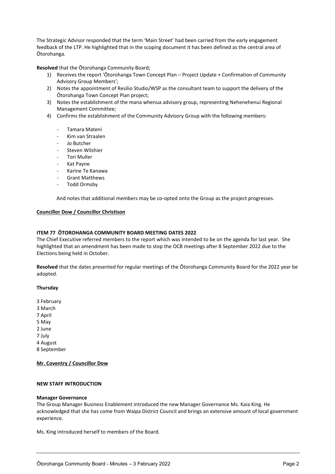The Strategic Advisor responded that the term 'Main Street' had been carried from the early engagement feedback of the LTP. He highlighted that in the scoping document it has been defined as the central area of Ōtorohanga.

**Resolved** that the Ōtorohanga Community Board;

- 1) Receives the report 'Ōtorohanga Town Concept Plan Project Update + Confirmation of Community Advisory Group Members';
- 2) Notes the appointment of Resilio Studio/WSP as the consultant team to support the delivery of the Ōtorohanga Town Concept Plan project;
- 3) Notes the establishment of the mana whenua advisory group, representing Nehenehenui Regional Management Committee;
- 4) Confirms the establishment of the Community Advisory Group with the following members:
	- Tamara Mateni
	- Kim van Straalen
	- Jo Butcher
	- Steven Wilshier
	- Tori Muller
	- Kat Payne
	- Karine Te Kanawa
	- Grant Matthews
	- Todd Ormsby

And notes that additional members may be co-opted onto the Group as the project progresses.

#### **Councillor Dow / Councillor Christison**

#### **ITEM 77 ŌTOROHANGA COMMUNITY BOARD MEETING DATES 2022**

The Chief Executive referred members to the report which was intended to be on the agenda for last year. She highlighted that an amendment has been made to stop the OCB meetings after 8 September 2022 due to the Elections being held in October.

**Resolved** that the dates presented for regular meetings of the Ōtorohanga Community Board for the 2022 year be adopted.

#### **Thursday**

- 3 February
- 3 March
- 7 April
- 5 May
- 2 June
- 7 July
- 4 August

8 September

#### **Mr. Coventry / Councillor Dow**

#### **NEW STAFF INTRODUCTION**

#### **Manager Governance**

The Group Manager Business Enablement introduced the new Manager Governance Ms. Kaia King. He acknowledged that she has come from Waipa District Council and brings an extensive amount of local government experience.

Ms. King introduced herself to members of the Board.